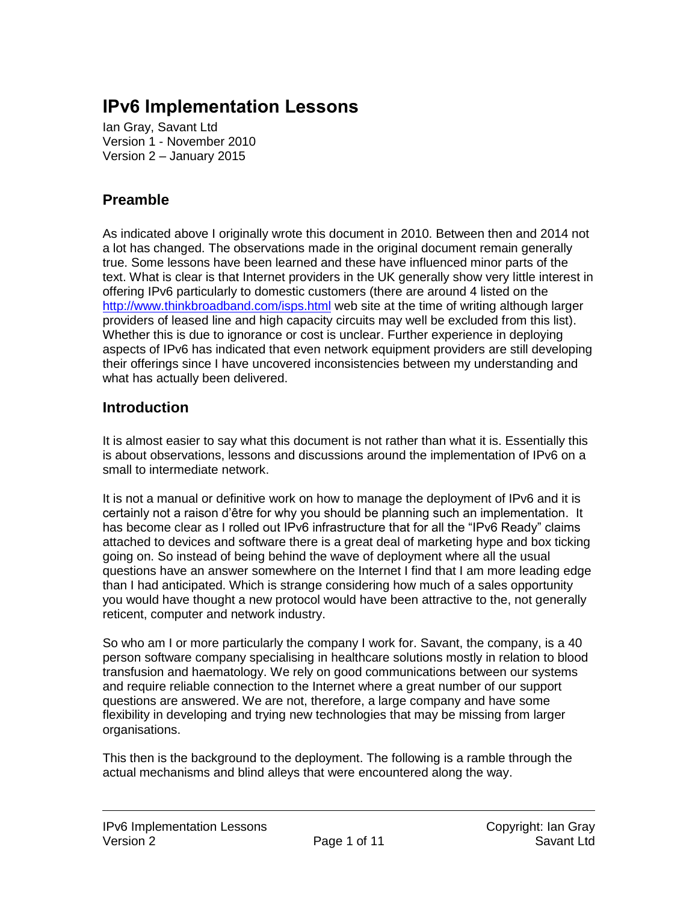# **IPv6 Implementation Lessons**

Ian Gray, Savant Ltd Version 1 - November 2010 Version 2 – January 2015

## **Preamble**

As indicated above I originally wrote this document in 2010. Between then and 2014 not a lot has changed. The observations made in the original document remain generally true. Some lessons have been learned and these have influenced minor parts of the text. What is clear is that Internet providers in the UK generally show very little interest in offering IPv6 particularly to domestic customers (there are around 4 listed on the <http://www.thinkbroadband.com/isps.html> web site at the time of writing although larger providers of leased line and high capacity circuits may well be excluded from this list). Whether this is due to ignorance or cost is unclear. Further experience in deploying aspects of IPv6 has indicated that even network equipment providers are still developing their offerings since I have uncovered inconsistencies between my understanding and what has actually been delivered.

#### **Introduction**

It is almost easier to say what this document is not rather than what it is. Essentially this is about observations, lessons and discussions around the implementation of IPv6 on a small to intermediate network.

It is not a manual or definitive work on how to manage the deployment of IPv6 and it is certainly not a raison d'être for why you should be planning such an implementation. It has become clear as I rolled out IPv6 infrastructure that for all the "IPv6 Ready" claims attached to devices and software there is a great deal of marketing hype and box ticking going on. So instead of being behind the wave of deployment where all the usual questions have an answer somewhere on the Internet I find that I am more leading edge than I had anticipated. Which is strange considering how much of a sales opportunity you would have thought a new protocol would have been attractive to the, not generally reticent, computer and network industry.

So who am I or more particularly the company I work for. Savant, the company, is a 40 person software company specialising in healthcare solutions mostly in relation to blood transfusion and haematology. We rely on good communications between our systems and require reliable connection to the Internet where a great number of our support questions are answered. We are not, therefore, a large company and have some flexibility in developing and trying new technologies that may be missing from larger organisations.

This then is the background to the deployment. The following is a ramble through the actual mechanisms and blind alleys that were encountered along the way.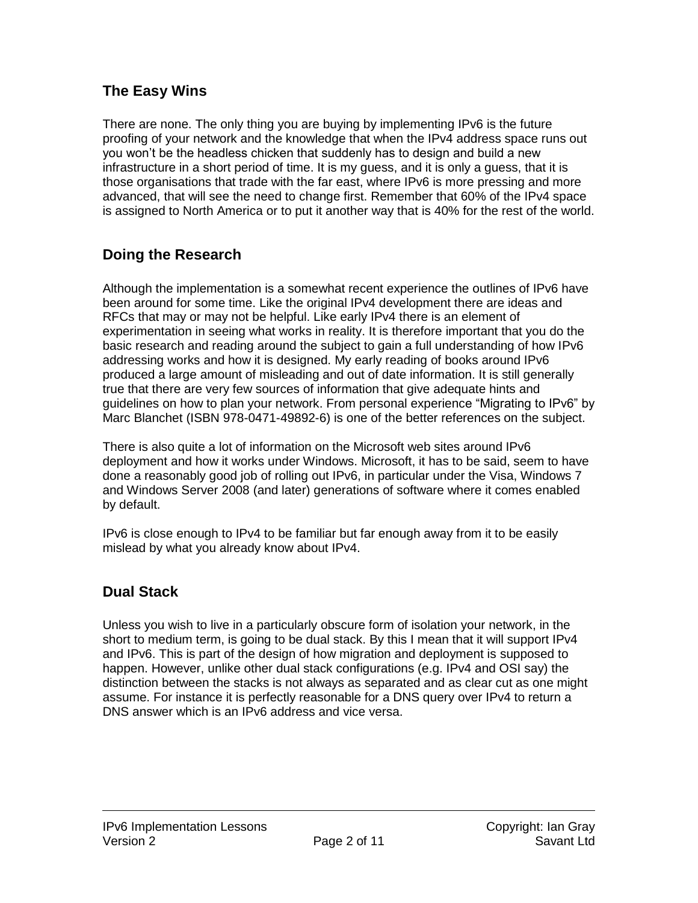#### **The Easy Wins**

There are none. The only thing you are buying by implementing IPv6 is the future proofing of your network and the knowledge that when the IPv4 address space runs out you won't be the headless chicken that suddenly has to design and build a new infrastructure in a short period of time. It is my guess, and it is only a guess, that it is those organisations that trade with the far east, where IPv6 is more pressing and more advanced, that will see the need to change first. Remember that 60% of the IPv4 space is assigned to North America or to put it another way that is 40% for the rest of the world.

#### **Doing the Research**

Although the implementation is a somewhat recent experience the outlines of IPv6 have been around for some time. Like the original IPv4 development there are ideas and RFCs that may or may not be helpful. Like early IPv4 there is an element of experimentation in seeing what works in reality. It is therefore important that you do the basic research and reading around the subject to gain a full understanding of how IPv6 addressing works and how it is designed. My early reading of books around IPv6 produced a large amount of misleading and out of date information. It is still generally true that there are very few sources of information that give adequate hints and guidelines on how to plan your network. From personal experience "Migrating to IPv6" by Marc Blanchet (ISBN 978-0471-49892-6) is one of the better references on the subject.

There is also quite a lot of information on the Microsoft web sites around IPv6 deployment and how it works under Windows. Microsoft, it has to be said, seem to have done a reasonably good job of rolling out IPv6, in particular under the Visa, Windows 7 and Windows Server 2008 (and later) generations of software where it comes enabled by default.

IPv6 is close enough to IPv4 to be familiar but far enough away from it to be easily mislead by what you already know about IPv4.

#### **Dual Stack**

Unless you wish to live in a particularly obscure form of isolation your network, in the short to medium term, is going to be dual stack. By this I mean that it will support IPv4 and IPv6. This is part of the design of how migration and deployment is supposed to happen. However, unlike other dual stack configurations (e.g. IPv4 and OSI say) the distinction between the stacks is not always as separated and as clear cut as one might assume. For instance it is perfectly reasonable for a DNS query over IPv4 to return a DNS answer which is an IPv6 address and vice versa.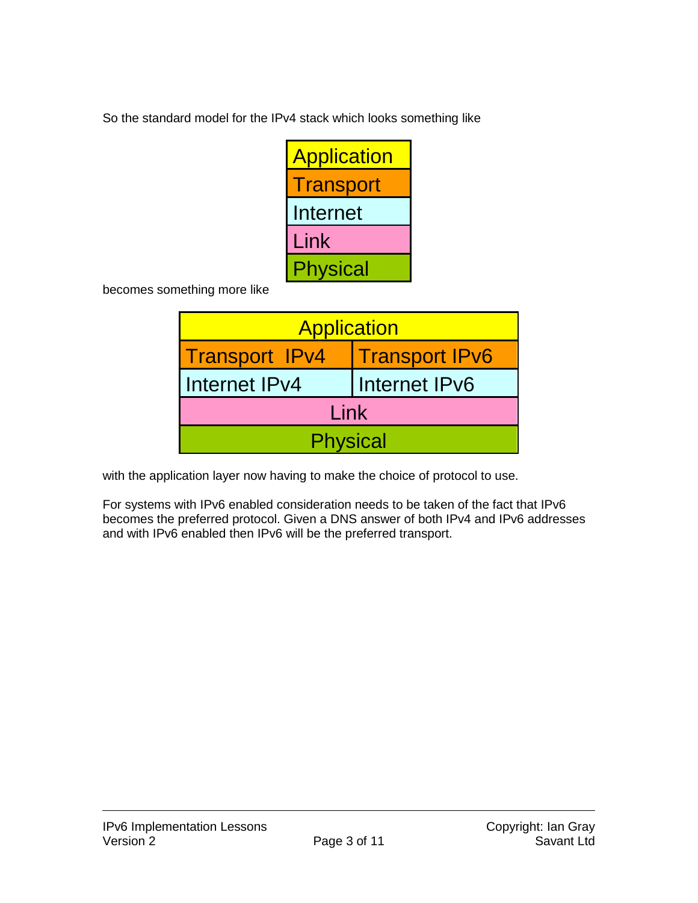So the standard model for the IPv4 stack which looks something like

| <b>Application</b> |
|--------------------|
| Transport          |
| Internet           |
| Link               |
| Physical           |

becomes something more like

| <b>Application</b>    |                       |  |  |  |
|-----------------------|-----------------------|--|--|--|
| <b>Transport IPv4</b> | <b>Transport IPv6</b> |  |  |  |
| Internet IPv4         | I Internet IPv6       |  |  |  |
| Link                  |                       |  |  |  |
| <b>Physical</b>       |                       |  |  |  |

with the application layer now having to make the choice of protocol to use.

For systems with IPv6 enabled consideration needs to be taken of the fact that IPv6 becomes the preferred protocol. Given a DNS answer of both IPv4 and IPv6 addresses and with IPv6 enabled then IPv6 will be the preferred transport.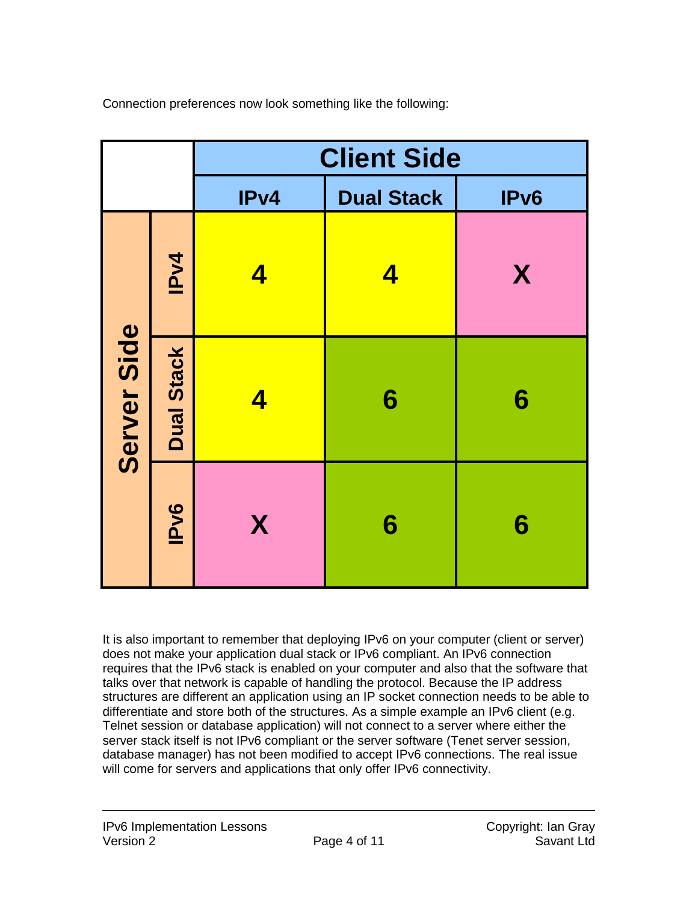|             |                   | <b>Client Side</b> |                   |                  |
|-------------|-------------------|--------------------|-------------------|------------------|
|             |                   | IPv4               | <b>Dual Stack</b> | IP <sub>v6</sub> |
| Server Side | IPv4              | 4                  | 4                 | X                |
|             | <b>Dual Stack</b> | 4                  | 6                 | 6                |
|             | <b>IPv6</b>       | X                  | 6                 | 6                |

Connection preferences now look something like the following:

It is also important to remember that deploying IPv6 on your computer (client or server) does not make your application dual stack or IPv6 compliant. An IPv6 connection requires that the IPv6 stack is enabled on your computer and also that the software that talks over that network is capable of handling the protocol. Because the IP address structures are different an application using an IP socket connection needs to be able to differentiate and store both of the structures. As a simple example an IPv6 client (e.g. Telnet session or database application) will not connect to a server where either the server stack itself is not IPv6 compliant or the server software (Tenet server session, database manager) has not been modified to accept IPv6 connections. The real issue will come for servers and applications that only offer IPv6 connectivity.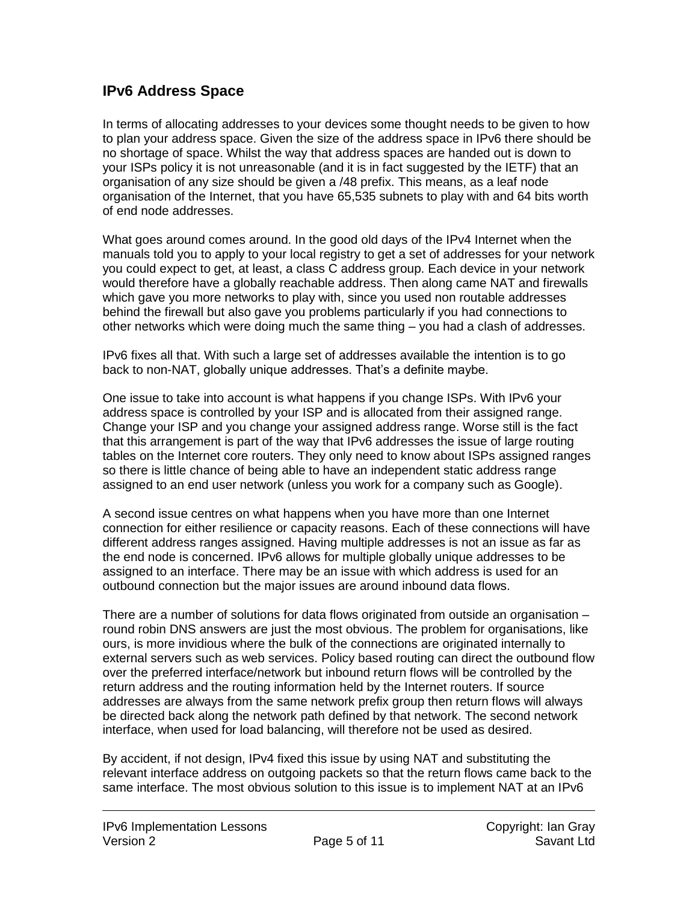#### **IPv6 Address Space**

In terms of allocating addresses to your devices some thought needs to be given to how to plan your address space. Given the size of the address space in IPv6 there should be no shortage of space. Whilst the way that address spaces are handed out is down to your ISPs policy it is not unreasonable (and it is in fact suggested by the IETF) that an organisation of any size should be given a /48 prefix. This means, as a leaf node organisation of the Internet, that you have 65,535 subnets to play with and 64 bits worth of end node addresses.

What goes around comes around. In the good old days of the IPv4 Internet when the manuals told you to apply to your local registry to get a set of addresses for your network you could expect to get, at least, a class C address group. Each device in your network would therefore have a globally reachable address. Then along came NAT and firewalls which gave you more networks to play with, since you used non routable addresses behind the firewall but also gave you problems particularly if you had connections to other networks which were doing much the same thing – you had a clash of addresses.

IPv6 fixes all that. With such a large set of addresses available the intention is to go back to non-NAT, globally unique addresses. That's a definite maybe.

One issue to take into account is what happens if you change ISPs. With IPv6 your address space is controlled by your ISP and is allocated from their assigned range. Change your ISP and you change your assigned address range. Worse still is the fact that this arrangement is part of the way that IPv6 addresses the issue of large routing tables on the Internet core routers. They only need to know about ISPs assigned ranges so there is little chance of being able to have an independent static address range assigned to an end user network (unless you work for a company such as Google).

A second issue centres on what happens when you have more than one Internet connection for either resilience or capacity reasons. Each of these connections will have different address ranges assigned. Having multiple addresses is not an issue as far as the end node is concerned. IPv6 allows for multiple globally unique addresses to be assigned to an interface. There may be an issue with which address is used for an outbound connection but the major issues are around inbound data flows.

There are a number of solutions for data flows originated from outside an organisation – round robin DNS answers are just the most obvious. The problem for organisations, like ours, is more invidious where the bulk of the connections are originated internally to external servers such as web services. Policy based routing can direct the outbound flow over the preferred interface/network but inbound return flows will be controlled by the return address and the routing information held by the Internet routers. If source addresses are always from the same network prefix group then return flows will always be directed back along the network path defined by that network. The second network interface, when used for load balancing, will therefore not be used as desired.

By accident, if not design, IPv4 fixed this issue by using NAT and substituting the relevant interface address on outgoing packets so that the return flows came back to the same interface. The most obvious solution to this issue is to implement NAT at an IPv6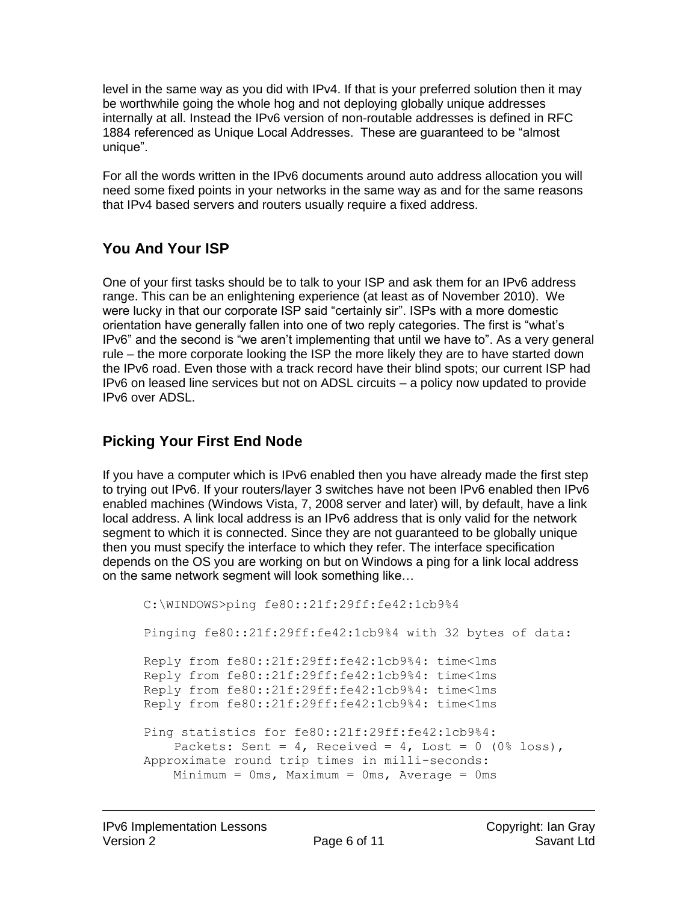level in the same way as you did with IPv4. If that is your preferred solution then it may be worthwhile going the whole hog and not deploying globally unique addresses internally at all. Instead the IPv6 version of non-routable addresses is defined in RFC 1884 referenced as Unique Local Addresses. These are guaranteed to be "almost unique".

For all the words written in the IPv6 documents around auto address allocation you will need some fixed points in your networks in the same way as and for the same reasons that IPv4 based servers and routers usually require a fixed address.

# **You And Your ISP**

One of your first tasks should be to talk to your ISP and ask them for an IPv6 address range. This can be an enlightening experience (at least as of November 2010). We were lucky in that our corporate ISP said "certainly sir". ISPs with a more domestic orientation have generally fallen into one of two reply categories. The first is "what's IPv6" and the second is "we aren't implementing that until we have to". As a very general rule – the more corporate looking the ISP the more likely they are to have started down the IPv6 road. Even those with a track record have their blind spots; our current ISP had IPv6 on leased line services but not on ADSL circuits – a policy now updated to provide IPv6 over ADSL.

#### **Picking Your First End Node**

If you have a computer which is IPv6 enabled then you have already made the first step to trying out IPv6. If your routers/layer 3 switches have not been IPv6 enabled then IPv6 enabled machines (Windows Vista, 7, 2008 server and later) will, by default, have a link local address. A link local address is an IPv6 address that is only valid for the network segment to which it is connected. Since they are not guaranteed to be globally unique then you must specify the interface to which they refer. The interface specification depends on the OS you are working on but on Windows a ping for a link local address on the same network segment will look something like…

```
C:\WINDOWS>ping fe80::21f:29ff:fe42:1cb9%4
Pinging fe80::21f:29ff:fe42:1cb9%4 with 32 bytes of data:
Reply from fe80::21f:29ff:fe42:1cb9%4: time<1ms
Reply from fe80::21f:29ff:fe42:1cb9%4: time<1ms
Reply from fe80::21f:29ff:fe42:1cb9%4: time<1ms
Reply from fe80::21f:29ff:fe42:1cb9%4: time<1ms
Ping statistics for fe80::21f:29ff:fe42:1cb9%4:
    Packets: Sent = 4, Received = 4, Lost = 0 (0\text{\textdegree } \text{loss}),
Approximate round trip times in milli-seconds:
   Minimum = 0ms, Maximum = 0ms, Average = 0ms
```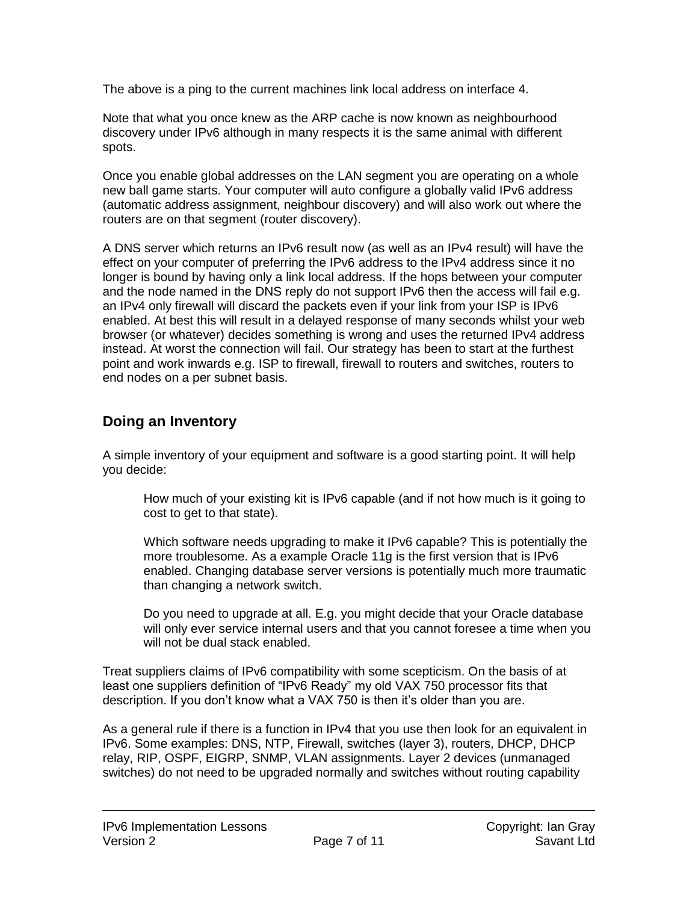The above is a ping to the current machines link local address on interface 4.

Note that what you once knew as the ARP cache is now known as neighbourhood discovery under IPv6 although in many respects it is the same animal with different spots.

Once you enable global addresses on the LAN segment you are operating on a whole new ball game starts. Your computer will auto configure a globally valid IPv6 address (automatic address assignment, neighbour discovery) and will also work out where the routers are on that segment (router discovery).

A DNS server which returns an IPv6 result now (as well as an IPv4 result) will have the effect on your computer of preferring the IPv6 address to the IPv4 address since it no longer is bound by having only a link local address. If the hops between your computer and the node named in the DNS reply do not support IPv6 then the access will fail e.g. an IPv4 only firewall will discard the packets even if your link from your ISP is IPv6 enabled. At best this will result in a delayed response of many seconds whilst your web browser (or whatever) decides something is wrong and uses the returned IPv4 address instead. At worst the connection will fail. Our strategy has been to start at the furthest point and work inwards e.g. ISP to firewall, firewall to routers and switches, routers to end nodes on a per subnet basis.

#### **Doing an Inventory**

A simple inventory of your equipment and software is a good starting point. It will help you decide:

How much of your existing kit is IPv6 capable (and if not how much is it going to cost to get to that state).

Which software needs upgrading to make it IPv6 capable? This is potentially the more troublesome. As a example Oracle 11g is the first version that is IPv6 enabled. Changing database server versions is potentially much more traumatic than changing a network switch.

Do you need to upgrade at all. E.g. you might decide that your Oracle database will only ever service internal users and that you cannot foresee a time when you will not be dual stack enabled.

Treat suppliers claims of IPv6 compatibility with some scepticism. On the basis of at least one suppliers definition of "IPv6 Ready" my old VAX 750 processor fits that description. If you don't know what a VAX 750 is then it's older than you are.

As a general rule if there is a function in IPv4 that you use then look for an equivalent in IPv6. Some examples: DNS, NTP, Firewall, switches (layer 3), routers, DHCP, DHCP relay, RIP, OSPF, EIGRP, SNMP, VLAN assignments. Layer 2 devices (unmanaged switches) do not need to be upgraded normally and switches without routing capability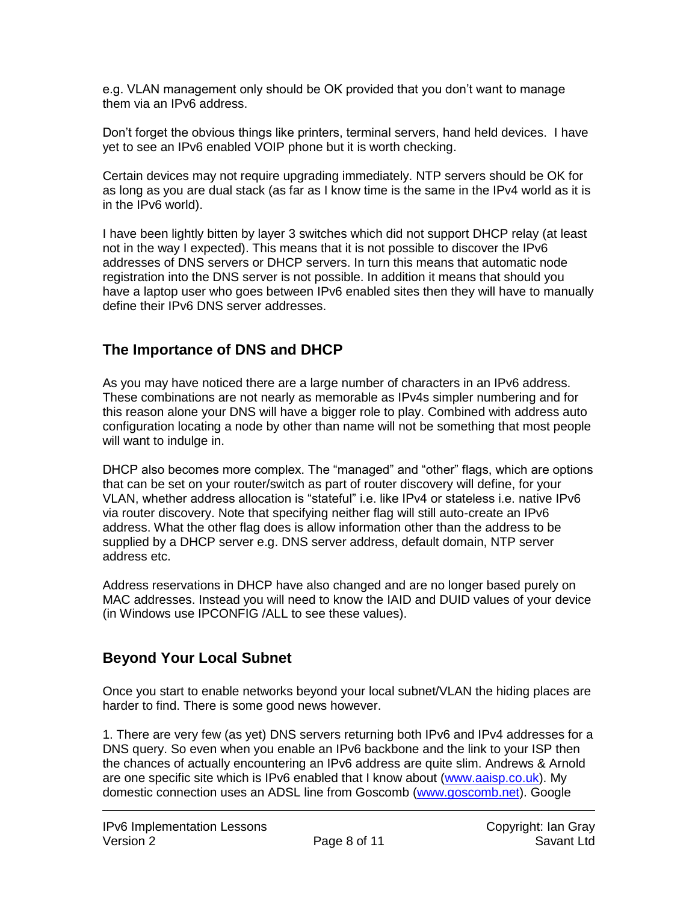e.g. VLAN management only should be OK provided that you don't want to manage them via an IPv6 address.

Don't forget the obvious things like printers, terminal servers, hand held devices. I have yet to see an IPv6 enabled VOIP phone but it is worth checking.

Certain devices may not require upgrading immediately. NTP servers should be OK for as long as you are dual stack (as far as I know time is the same in the IPv4 world as it is in the IPv6 world).

I have been lightly bitten by layer 3 switches which did not support DHCP relay (at least not in the way I expected). This means that it is not possible to discover the IPv6 addresses of DNS servers or DHCP servers. In turn this means that automatic node registration into the DNS server is not possible. In addition it means that should you have a laptop user who goes between IPv6 enabled sites then they will have to manually define their IPv6 DNS server addresses.

#### **The Importance of DNS and DHCP**

As you may have noticed there are a large number of characters in an IPv6 address. These combinations are not nearly as memorable as IPv4s simpler numbering and for this reason alone your DNS will have a bigger role to play. Combined with address auto configuration locating a node by other than name will not be something that most people will want to indulge in.

DHCP also becomes more complex. The "managed" and "other" flags, which are options that can be set on your router/switch as part of router discovery will define, for your VLAN, whether address allocation is "stateful" i.e. like IPv4 or stateless i.e. native IPv6 via router discovery. Note that specifying neither flag will still auto-create an IPv6 address. What the other flag does is allow information other than the address to be supplied by a DHCP server e.g. DNS server address, default domain, NTP server address etc.

Address reservations in DHCP have also changed and are no longer based purely on MAC addresses. Instead you will need to know the IAID and DUID values of your device (in Windows use IPCONFIG /ALL to see these values).

# **Beyond Your Local Subnet**

Once you start to enable networks beyond your local subnet/VLAN the hiding places are harder to find. There is some good news however.

1. There are very few (as yet) DNS servers returning both IPv6 and IPv4 addresses for a DNS query. So even when you enable an IPv6 backbone and the link to your ISP then the chances of actually encountering an IPv6 address are quite slim. Andrews & Arnold are one specific site which is IPv6 enabled that I know about [\(www.aaisp.co.uk\)](http://www.aaisp.co.uk/). My domestic connection uses an ADSL line from Goscomb [\(www.goscomb.net\)](http://www.goscomb.net/). Google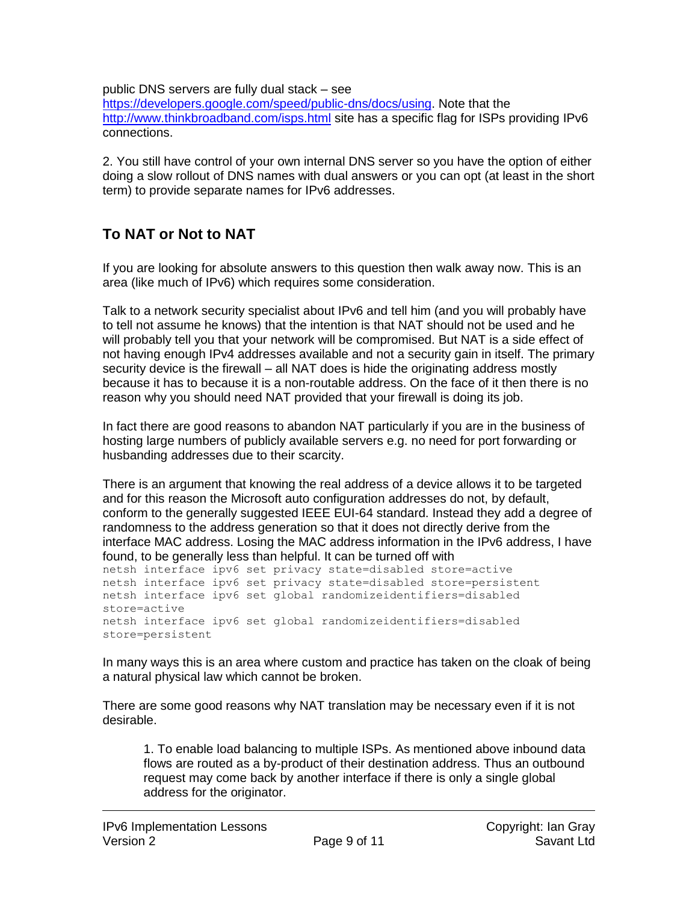#### public DNS servers are fully dual stack – see

[https://developers.google.com/speed/public-dns/docs/using.](https://developers.google.com/speed/public-dns/docs/using) Note that the <http://www.thinkbroadband.com/isps.html> site has a specific flag for ISPs providing IPv6 connections.

2. You still have control of your own internal DNS server so you have the option of either doing a slow rollout of DNS names with dual answers or you can opt (at least in the short term) to provide separate names for IPv6 addresses.

# **To NAT or Not to NAT**

If you are looking for absolute answers to this question then walk away now. This is an area (like much of IPv6) which requires some consideration.

Talk to a network security specialist about IPv6 and tell him (and you will probably have to tell not assume he knows) that the intention is that NAT should not be used and he will probably tell you that your network will be compromised. But NAT is a side effect of not having enough IPv4 addresses available and not a security gain in itself. The primary security device is the firewall – all NAT does is hide the originating address mostly because it has to because it is a non-routable address. On the face of it then there is no reason why you should need NAT provided that your firewall is doing its job.

In fact there are good reasons to abandon NAT particularly if you are in the business of hosting large numbers of publicly available servers e.g. no need for port forwarding or husbanding addresses due to their scarcity.

There is an argument that knowing the real address of a device allows it to be targeted and for this reason the Microsoft auto configuration addresses do not, by default, conform to the generally suggested IEEE EUI-64 standard. Instead they add a degree of randomness to the address generation so that it does not directly derive from the interface MAC address. Losing the MAC address information in the IPv6 address, I have found, to be generally less than helpful. It can be turned off with

netsh interface ipv6 set privacy state=disabled store=active netsh interface ipv6 set privacy state=disabled store=persistent netsh interface ipv6 set global randomizeidentifiers=disabled store=active netsh interface ipv6 set global randomizeidentifiers=disabled store=persistent

In many ways this is an area where custom and practice has taken on the cloak of being a natural physical law which cannot be broken.

There are some good reasons why NAT translation may be necessary even if it is not desirable.

1. To enable load balancing to multiple ISPs. As mentioned above inbound data flows are routed as a by-product of their destination address. Thus an outbound request may come back by another interface if there is only a single global address for the originator.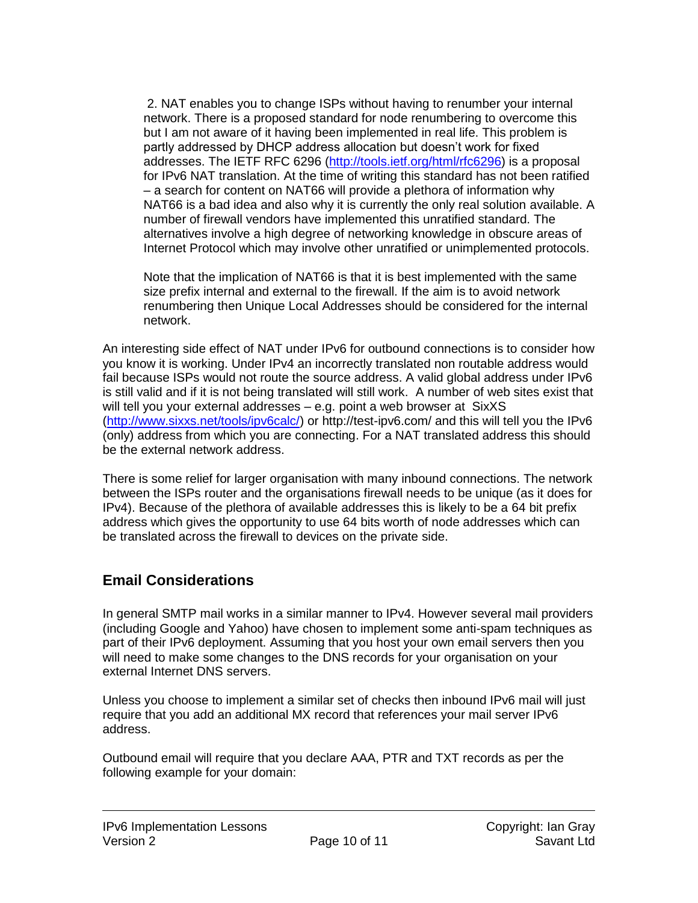2. NAT enables you to change ISPs without having to renumber your internal network. There is a proposed standard for node renumbering to overcome this but I am not aware of it having been implemented in real life. This problem is partly addressed by DHCP address allocation but doesn't work for fixed addresses. The IETF RFC 6296 [\(http://tools.ietf.org/html/rfc6296\)](http://tools.ietf.org/html/rfc6296) is a proposal for IPv6 NAT translation. At the time of writing this standard has not been ratified – a search for content on NAT66 will provide a plethora of information why NAT66 is a bad idea and also why it is currently the only real solution available. A number of firewall vendors have implemented this unratified standard. The alternatives involve a high degree of networking knowledge in obscure areas of Internet Protocol which may involve other unratified or unimplemented protocols.

Note that the implication of NAT66 is that it is best implemented with the same size prefix internal and external to the firewall. If the aim is to avoid network renumbering then Unique Local Addresses should be considered for the internal network.

An interesting side effect of NAT under IPv6 for outbound connections is to consider how you know it is working. Under IPv4 an incorrectly translated non routable address would fail because ISPs would not route the source address. A valid global address under IPv6 is still valid and if it is not being translated will still work. A number of web sites exist that will tell you your external addresses – e.g. point a web browser at SixXS [\(http://www.sixxs.net/tools/ipv6calc/\)](http://www.sixxs.net/tools/ipv6calc/) or http://test-ipv6.com/ and this will tell you the IPv6 (only) address from which you are connecting. For a NAT translated address this should be the external network address.

There is some relief for larger organisation with many inbound connections. The network between the ISPs router and the organisations firewall needs to be unique (as it does for IPv4). Because of the plethora of available addresses this is likely to be a 64 bit prefix address which gives the opportunity to use 64 bits worth of node addresses which can be translated across the firewall to devices on the private side.

#### **Email Considerations**

In general SMTP mail works in a similar manner to IPv4. However several mail providers (including Google and Yahoo) have chosen to implement some anti-spam techniques as part of their IPv6 deployment. Assuming that you host your own email servers then you will need to make some changes to the DNS records for your organisation on your external Internet DNS servers.

Unless you choose to implement a similar set of checks then inbound IPv6 mail will just require that you add an additional MX record that references your mail server IPv6 address.

Outbound email will require that you declare AAA, PTR and TXT records as per the following example for your domain: